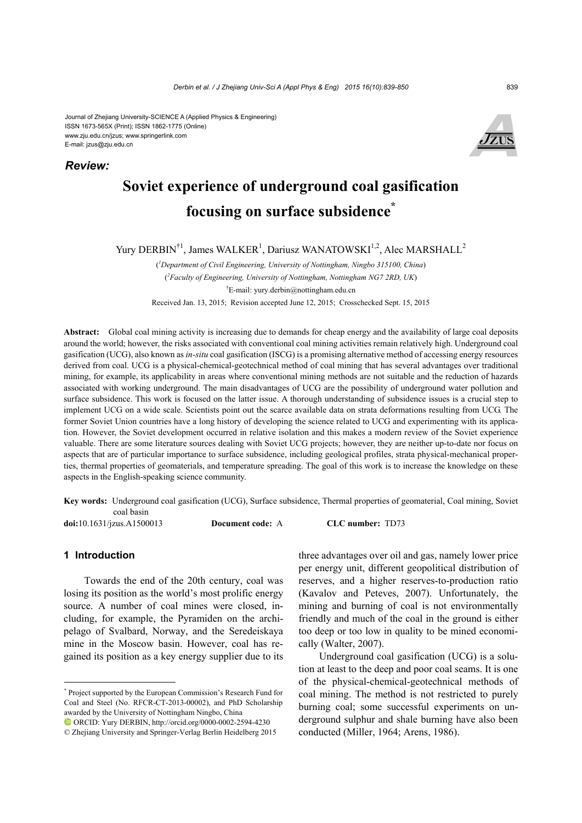#### Journal of Zhejiang University-SCIENCE A (Applied Physics & Engineering) ISSN 1673-565X (Print); ISSN 1862-1775 (Online) www.zju.edu.cn/jzus; www.springerlink.com E-mail: jzus@zju.edu.cn

*Review:*



# **Soviet experience of underground coal gasification focusing on surface subsidence\***

Yury DERBIN<sup>†1</sup>, James WALKER<sup>1</sup>, Dariusz WANATOWSKI<sup>1,2</sup>, Alec MARSHALL<sup>2</sup>

( *1 Department of Civil Engineering, University of Nottingham, Ningbo 315100, China*) ( *2 Faculty of Engineering, University of Nottingham, Nottingham NG7 2RD, UK*) † E-mail: yury.derbin@nottingham.edu.cn Received Jan. 13, 2015; Revision accepted June 12, 2015; Crosschecked Sept. 15, 2015

**Abstract:** Global coal mining activity is increasing due to demands for cheap energy and the availability of large coal deposits around the world; however, the risks associated with conventional coal mining activities remain relatively high. Underground coal gasification (UCG), also known as *in-situ* coal gasification (ISCG) is a promising alternative method of accessing energy resources derived from coal. UCG is a physical-chemical-geotechnical method of coal mining that has several advantages over traditional mining, for example, its applicability in areas where conventional mining methods are not suitable and the reduction of hazards associated with working underground. The main disadvantages of UCG are the possibility of underground water pollution and surface subsidence. This work is focused on the latter issue. A thorough understanding of subsidence issues is a crucial step to implement UCG on a wide scale. Scientists point out the scarce available data on strata deformations resulting from UCG. The former Soviet Union countries have a long history of developing the science related to UCG and experimenting with its application. However, the Soviet development occurred in relative isolation and this makes a modern review of the Soviet experience valuable. There are some literature sources dealing with Soviet UCG projects; however, they are neither up-to-date nor focus on aspects that are of particular importance to surface subsidence, including geological profiles, strata physical-mechanical properties, thermal properties of geomaterials, and temperature spreading. The goal of this work is to increase the knowledge on these aspects in the English-speaking science community.

**Key words:** Underground coal gasification (UCG), Surface subsidence, Thermal properties of geomaterial, Coal mining, Soviet coal basin

**doi:**10.1631/jzus.A1500013 **Document code:** A **CLC number:** TD73

## **1 Introduction**

Towards the end of the 20th century, coal was losing its position as the world's most prolific energy source. A number of coal mines were closed, including, for example, the Pyramiden on the archipelago of Svalbard, Norway, and the Seredeiskaya mine in the Moscow basin. However, coal has regained its position as a key energy supplier due to its three advantages over oil and gas, namely lower price per energy unit, different geopolitical distribution of reserves, and a higher reserves-to-production ratio (Kavalov and Peteves, 2007). Unfortunately, the mining and burning of coal is not environmentally friendly and much of the coal in the ground is either too deep or too low in quality to be mined economically (Walter, 2007).

Underground coal gasification (UCG) is a solution at least to the deep and poor coal seams. It is one of the physical-chemical-geotechnical methods of coal mining. The method is not restricted to purely burning coal; some successful experiments on underground sulphur and shale burning have also been conducted (Miller, 1964; Arens, 1986).

<sup>\*</sup> Project supported by the European Commission's Research Fund for Coal and Steel (No. RFCR-CT-2013-00002), and PhD Scholarship awarded by the University of Nottingham Ningbo, China

ORCID: Yury DERBIN, http://orcid.org/0000-0002-2594-4230

<sup>©</sup> Zhejiang University and Springer-Verlag Berlin Heidelberg 2015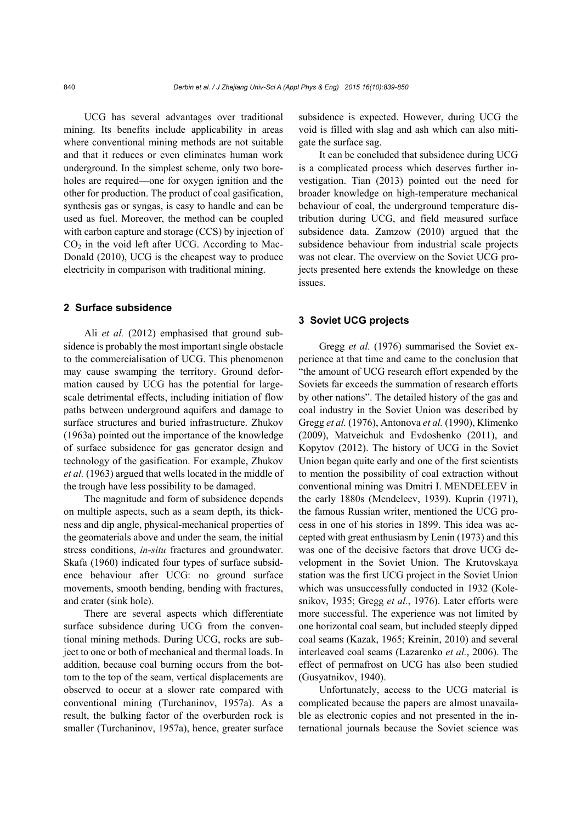UCG has several advantages over traditional mining. Its benefits include applicability in areas where conventional mining methods are not suitable and that it reduces or even eliminates human work underground. In the simplest scheme, only two boreholes are required—one for oxygen ignition and the other for production. The product of coal gasification, synthesis gas or syngas, is easy to handle and can be used as fuel. Moreover, the method can be coupled with carbon capture and storage (CCS) by injection of  $CO<sub>2</sub>$  in the void left after UCG. According to Mac-Donald (2010), UCG is the cheapest way to produce electricity in comparison with traditional mining.

## **2 Surface subsidence**

Ali *et al.* (2012) emphasised that ground subsidence is probably the most important single obstacle to the commercialisation of UCG. This phenomenon may cause swamping the territory. Ground deformation caused by UCG has the potential for largescale detrimental effects, including initiation of flow paths between underground aquifers and damage to surface structures and buried infrastructure. Zhukov (1963a) pointed out the importance of the knowledge of surface subsidence for gas generator design and technology of the gasification. For example, Zhukov *et al.* (1963) argued that wells located in the middle of the trough have less possibility to be damaged.

The magnitude and form of subsidence depends on multiple aspects, such as a seam depth, its thickness and dip angle, physical-mechanical properties of the geomaterials above and under the seam, the initial stress conditions, *in-situ* fractures and groundwater. Skafa (1960) indicated four types of surface subsidence behaviour after UCG: no ground surface movements, smooth bending, bending with fractures, and crater (sink hole).

There are several aspects which differentiate surface subsidence during UCG from the conventional mining methods. During UCG, rocks are subject to one or both of mechanical and thermal loads. In addition, because coal burning occurs from the bottom to the top of the seam, vertical displacements are observed to occur at a slower rate compared with conventional mining (Turchaninov, 1957a). As a result, the bulking factor of the overburden rock is smaller (Turchaninov, 1957a), hence, greater surface subsidence is expected. However, during UCG the void is filled with slag and ash which can also mitigate the surface sag.

It can be concluded that subsidence during UCG is a complicated process which deserves further investigation. Tian (2013) pointed out the need for broader knowledge on high-temperature mechanical behaviour of coal, the underground temperature distribution during UCG, and field measured surface subsidence data. Zamzow (2010) argued that the subsidence behaviour from industrial scale projects was not clear. The overview on the Soviet UCG projects presented here extends the knowledge on these issues.

## **3 Soviet UCG projects**

Gregg *et al.* (1976) summarised the Soviet experience at that time and came to the conclusion that "the amount of UCG research effort expended by the Soviets far exceeds the summation of research efforts by other nations". The detailed history of the gas and coal industry in the Soviet Union was described by Gregg *et al.* (1976), Antonova *et al.* (1990), Klimenko (2009), Matveichuk and Evdoshenko (2011), and Kopytov (2012). The history of UCG in the Soviet Union began quite early and one of the first scientists to mention the possibility of coal extraction without conventional mining was Dmitri I. MENDELEEV in the early 1880s (Mendeleev, 1939). Kuprin (1971), the famous Russian writer, mentioned the UCG process in one of his stories in 1899. This idea was accepted with great enthusiasm by Lenin (1973) and this was one of the decisive factors that drove UCG development in the Soviet Union. The Krutovskaya station was the first UCG project in the Soviet Union which was unsuccessfully conducted in 1932 (Kolesnikov, 1935; Gregg *et al.*, 1976). Later efforts were more successful. The experience was not limited by one horizontal coal seam, but included steeply dipped coal seams (Kazak, 1965; Kreinin, 2010) and several interleaved coal seams (Lazarenko *et al.*, 2006). The effect of permafrost on UCG has also been studied (Gusyatnikov, 1940).

Unfortunately, access to the UCG material is complicated because the papers are almost unavailable as electronic copies and not presented in the international journals because the Soviet science was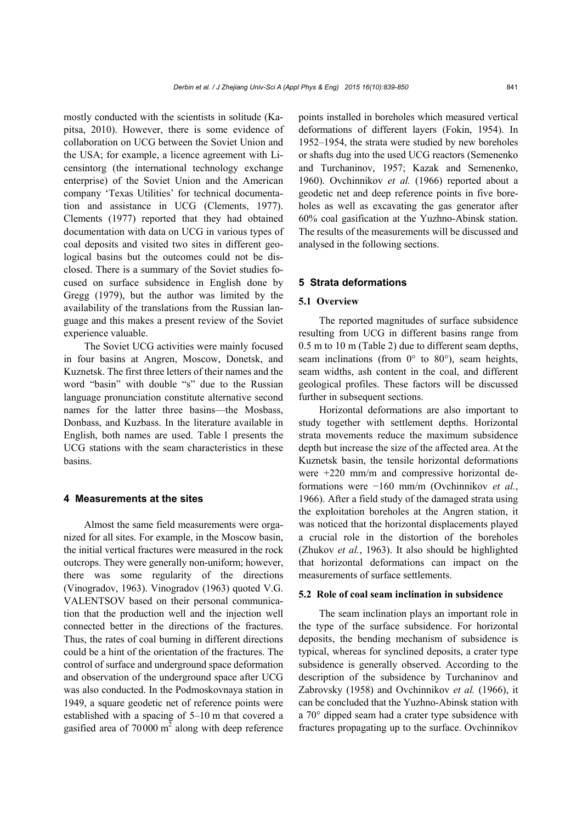mostly conducted with the scientists in solitude (Kapitsa, 2010). However, there is some evidence of collaboration on UCG between the Soviet Union and the USA; for example, a licence agreement with Licensintorg (the international technology exchange enterprise) of the Soviet Union and the American company 'Texas Utilities' for technical documentation and assistance in UCG (Clements, 1977). Clements (1977) reported that they had obtained documentation with data on UCG in various types of coal deposits and visited two sites in different geological basins but the outcomes could not be disclosed. There is a summary of the Soviet studies focused on surface subsidence in English done by Gregg (1979), but the author was limited by the availability of the translations from the Russian language and this makes a present review of the Soviet experience valuable.

The Soviet UCG activities were mainly focused in four basins at Angren, Moscow, Donetsk, and Kuznetsk. The first three letters of their names and the word "basin" with double "s" due to the Russian language pronunciation constitute alternative second names for the latter three basins—the Mosbass, Donbass, and Kuzbass. In the literature available in English, both names are used. Table 1 presents the UCG stations with the seam characteristics in these basins.

#### **4 Measurements at the sites**

Almost the same field measurements were organized for all sites. For example, in the Moscow basin, the initial vertical fractures were measured in the rock outcrops. They were generally non-uniform; however, there was some regularity of the directions (Vinogradov, 1963). Vinogradov (1963) quoted V.G. VALENTSOV based on their personal communication that the production well and the injection well connected better in the directions of the fractures. Thus, the rates of coal burning in different directions could be a hint of the orientation of the fractures. The control of surface and underground space deformation and observation of the underground space after UCG was also conducted. In the Podmoskovnaya station in 1949, a square geodetic net of reference points were established with a spacing of 5–10 m that covered a gasified area of  $70000 \text{ m}^2$  along with deep reference points installed in boreholes which measured vertical deformations of different layers (Fokin, 1954). In 1952–1954, the strata were studied by new boreholes or shafts dug into the used UCG reactors (Semenenko and Turchaninov, 1957; Kazak and Semenenko, 1960). Ovchinnikov *et al.* (1966) reported about a geodetic net and deep reference points in five boreholes as well as excavating the gas generator after 60% coal gasification at the Yuzhno-Abinsk station. The results of the measurements will be discussed and analysed in the following sections.

## **5 Strata deformations**

#### **5.1 Overview**

The reported magnitudes of surface subsidence resulting from UCG in different basins range from 0.5 m to 10 m (Table 2) due to different seam depths, seam inclinations (from  $0^{\circ}$  to  $80^{\circ}$ ), seam heights, seam widths, ash content in the coal, and different geological profiles. These factors will be discussed further in subsequent sections.

Horizontal deformations are also important to study together with settlement depths. Horizontal strata movements reduce the maximum subsidence depth but increase the size of the affected area. At the Kuznetsk basin, the tensile horizontal deformations were +220 mm/m and compressive horizontal deformations were −160 mm/m (Ovchinnikov *et al.*, 1966). After a field study of the damaged strata using the exploitation boreholes at the Angren station, it was noticed that the horizontal displacements played a crucial role in the distortion of the boreholes (Zhukov *et al.*, 1963). It also should be highlighted that horizontal deformations can impact on the measurements of surface settlements.

#### **5.2 Role of coal seam inclination in subsidence**

The seam inclination plays an important role in the type of the surface subsidence. For horizontal deposits, the bending mechanism of subsidence is typical, whereas for synclined deposits, a crater type subsidence is generally observed. According to the description of the subsidence by Turchaninov and Zabrovsky (1958) and Ovchinnikov *et al.* (1966), it can be concluded that the Yuzhno-Abinsk station with a 70° dipped seam had a crater type subsidence with fractures propagating up to the surface. Ovchinnikov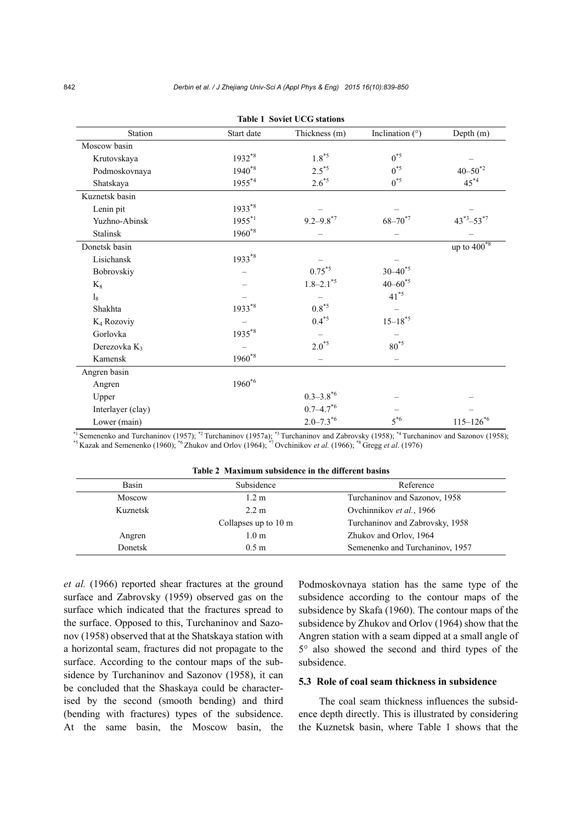| Start date  | Thickness (m)             | Inclination $(°)$ | Depth (m)           |
|-------------|---------------------------|-------------------|---------------------|
|             |                           |                   |                     |
| $1932^{*8}$ | $1.8^{*5}$                | $0^{*5}$          |                     |
| $1940^{*8}$ | $2.5^*$                   | $0^{*5}$          | $40 - 50^{*2}$      |
| 1955*4      | $2.6^{*5}$                | $0^{*5}$          | $45^{*4}$           |
|             |                           |                   |                     |
| 1933*8      |                           |                   |                     |
| $1955^{*1}$ | $9.2 - 9.8^{*7}$          | $68 - 70^{*7}$    | $43^{*3} - 53^{*7}$ |
| $1960^{*8}$ |                           |                   |                     |
|             |                           |                   | up to $400^{*8}$    |
| 1933*8      |                           |                   |                     |
|             | $0.75^{*5}$               | $30 - 40^{*5}$    |                     |
|             | $1.8 - 2.1$ <sup>*5</sup> | $40 - 60^{*5}$    |                     |
|             |                           | $41^{*5}$         |                     |
| 1933*8      | $0.8*5$                   |                   |                     |
|             | $0.4*5$                   | $15 - 18^{*5}$    |                     |
| 1935*8      |                           |                   |                     |
|             | $2.0^{*5}$                | $80^{\ast}{}^5$   |                     |
| $1960^{*8}$ |                           |                   |                     |
|             |                           |                   |                     |
|             |                           |                   |                     |
|             | $0.3 - 3.8^{*6}$          |                   |                     |
|             | $0.7 - 4.7^{*6}$          |                   |                     |
|             |                           | $5*6$             | $115 - 126^{*6}$    |
|             | $1960^{*6}$               | $2.0 - 7.3^{*6}$  |                     |

|  |  |  | <b>Table 1 Soviet UCG stations</b> |
|--|--|--|------------------------------------|
|--|--|--|------------------------------------|

<sup>\*1</sup> Semenenko and Turchaninov (1957); <sup>\*2</sup> Turchaninov (1957a); <sup>\*3</sup> Turchaninov and Zabrovsky (1958); <sup>\*4</sup> Turchaninov and Sazonov (1958); <sup>\*5</sup> Kazak and Semenenko (1960); <sup>\*6</sup> Zhukov and Orlov (1964); <sup>\*7</sup> Ovchinikov

|  |  | Table 2 Maximum subsidence in the different basins |
|--|--|----------------------------------------------------|
|  |  |                                                    |

| Basin    | Subsidence           | Reference                       |
|----------|----------------------|---------------------------------|
| Moscow   | $1.2 \text{ m}$      | Turchaninov and Sazonov, 1958   |
| Kuznetsk | 2.2 m                | Ovchinnikov et al., 1966        |
|          | Collapses up to 10 m | Turchaninov and Zabrovsky, 1958 |
| Angren   | 1.0 <sub>m</sub>     | Zhukov and Orlov, 1964          |
| Donetsk  | 0.5 m                | Semenenko and Turchaninov, 1957 |

*et al.* (1966) reported shear fractures at the ground surface and Zabrovsky (1959) observed gas on the surface which indicated that the fractures spread to the surface. Opposed to this, Turchaninov and Sazonov (1958) observed that at the Shatskaya station with a horizontal seam, fractures did not propagate to the surface. According to the contour maps of the subsidence by Turchaninov and Sazonov (1958), it can be concluded that the Shaskaya could be characterised by the second (smooth bending) and third (bending with fractures) types of the subsidence. At the same basin, the Moscow basin, the Podmoskovnaya station has the same type of the subsidence according to the contour maps of the subsidence by Skafa (1960). The contour maps of the subsidence by Zhukov and Orlov (1964) show that the Angren station with a seam dipped at a small angle of 5° also showed the second and third types of the subsidence.

#### **5.3 Role of coal seam thickness in subsidence**

The coal seam thickness influences the subsidence depth directly. This is illustrated by considering the Kuznetsk basin, where Table 1 shows that the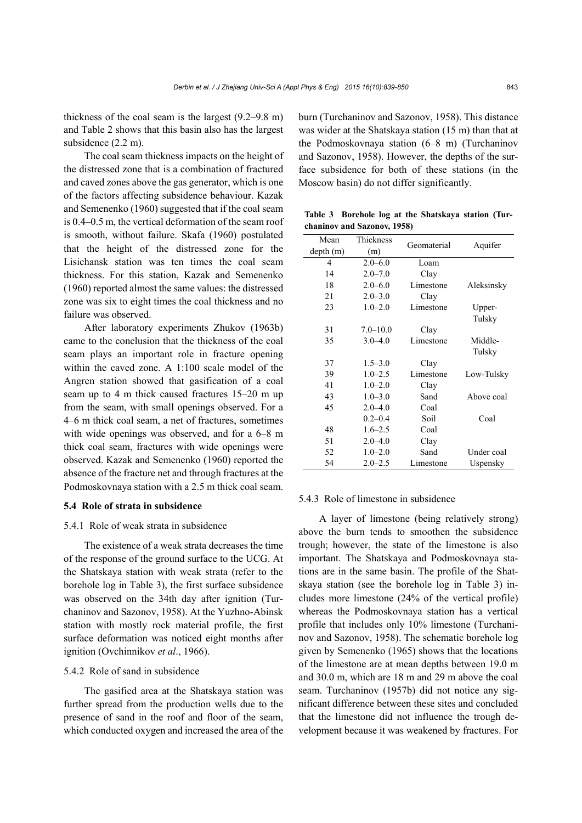thickness of the coal seam is the largest (9.2–9.8 m) and Table 2 shows that this basin also has the largest subsidence (2.2 m).

The coal seam thickness impacts on the height of the distressed zone that is a combination of fractured and caved zones above the gas generator, which is one of the factors affecting subsidence behaviour. Kazak and Semenenko (1960) suggested that if the coal seam is 0.4–0.5 m, the vertical deformation of the seam roof is smooth, without failure. Skafa (1960) postulated that the height of the distressed zone for the Lisichansk station was ten times the coal seam thickness. For this station, Kazak and Semenenko (1960) reported almost the same values: the distressed zone was six to eight times the coal thickness and no failure was observed.

After laboratory experiments Zhukov (1963b) came to the conclusion that the thickness of the coal seam plays an important role in fracture opening within the caved zone. A 1:100 scale model of the Angren station showed that gasification of a coal seam up to 4 m thick caused fractures 15–20 m up from the seam, with small openings observed. For a 4–6 m thick coal seam, a net of fractures, sometimes with wide openings was observed, and for a 6–8 m thick coal seam, fractures with wide openings were observed. Kazak and Semenenko (1960) reported the absence of the fracture net and through fractures at the Podmoskovnaya station with a 2.5 m thick coal seam.

#### **5.4 Role of strata in subsidence**

#### 5.4.1 Role of weak strata in subsidence

The existence of a weak strata decreases the time of the response of the ground surface to the UCG. At the Shatskaya station with weak strata (refer to the borehole log in Table 3), the first surface subsidence was observed on the 34th day after ignition (Turchaninov and Sazonov, 1958). At the Yuzhno-Abinsk station with mostly rock material profile, the first surface deformation was noticed eight months after ignition (Ovchinnikov *et al*., 1966).

## 5.4.2 Role of sand in subsidence

The gasified area at the Shatskaya station was further spread from the production wells due to the presence of sand in the roof and floor of the seam, which conducted oxygen and increased the area of the burn (Turchaninov and Sazonov, 1958). This distance was wider at the Shatskaya station (15 m) than that at the Podmoskovnaya station (6–8 m) (Turchaninov and Sazonov, 1958). However, the depths of the surface subsidence for both of these stations (in the Moscow basin) do not differ significantly.

**Table 3 Borehole log at the Shatskaya station (Turchaninov and Sazonov, 1958)** 

| Mean           | Thickness    | Geomaterial |            |
|----------------|--------------|-------------|------------|
| depth(m)       | (m)          |             | Aquifer    |
| $\overline{4}$ | $2.0 - 6.0$  | Loam        |            |
| 14             | $2.0 - 7.0$  | Clay        |            |
| 18             | $2.0 - 6.0$  | Limestone   | Aleksinsky |
| 21             | $2.0 - 3.0$  | Clay        |            |
| 23             | $1.0 - 2.0$  | Limestone   | Upper-     |
|                |              |             | Tulsky     |
| 31             | $7.0 - 10.0$ | Clay        |            |
| 35             | $3.0 - 4.0$  | Limestone   | Middle-    |
|                |              |             | Tulsky     |
| 37             | $1.5 - 3.0$  | Clay        |            |
| 39             | $1.0 - 2.5$  | Limestone   | Low-Tulsky |
| 41             | $1.0 - 2.0$  | Clay        |            |
| 43             | $1.0 - 3.0$  | Sand        | Above coal |
| 45             | $2.0 - 4.0$  | Coal        |            |
|                | $0.2 - 0.4$  | Soil        | Coal       |
| 48             | $1.6 - 2.5$  | Coal        |            |
| 51             | $2.0 - 4.0$  | Clay        |            |
| 52             | $1.0 - 2.0$  | Sand        | Under coal |
| 54             | $2.0 - 2.5$  | Limestone   | Uspensky   |

#### 5.4.3 Role of limestone in subsidence

A layer of limestone (being relatively strong) above the burn tends to smoothen the subsidence trough; however, the state of the limestone is also important. The Shatskaya and Podmoskovnaya stations are in the same basin. The profile of the Shatskaya station (see the borehole log in Table 3) includes more limestone (24% of the vertical profile) whereas the Podmoskovnaya station has a vertical profile that includes only 10% limestone (Turchaninov and Sazonov, 1958). The schematic borehole log given by Semenenko (1965) shows that the locations of the limestone are at mean depths between 19.0 m and 30.0 m, which are 18 m and 29 m above the coal seam. Turchaninov (1957b) did not notice any significant difference between these sites and concluded that the limestone did not influence the trough development because it was weakened by fractures. For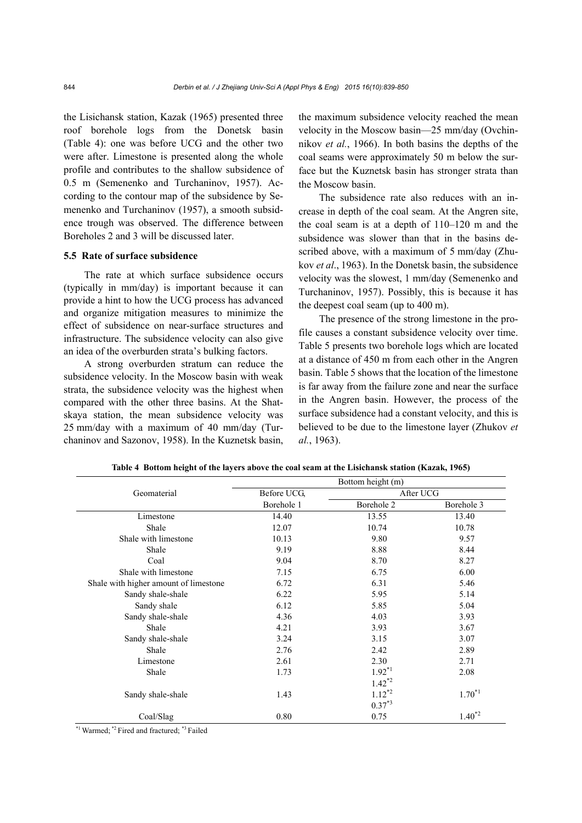the Lisichansk station, Kazak (1965) presented three roof borehole logs from the Donetsk basin (Table 4): one was before UCG and the other two were after. Limestone is presented along the whole profile and contributes to the shallow subsidence of 0.5 m (Semenenko and Turchaninov, 1957). According to the contour map of the subsidence by Semenenko and Turchaninov (1957), a smooth subsidence trough was observed. The difference between Boreholes 2 and 3 will be discussed later.

### **5.5 Rate of surface subsidence**

The rate at which surface subsidence occurs (typically in mm/day) is important because it can provide a hint to how the UCG process has advanced and organize mitigation measures to minimize the effect of subsidence on near-surface structures and infrastructure. The subsidence velocity can also give an idea of the overburden strata's bulking factors.

A strong overburden stratum can reduce the subsidence velocity. In the Moscow basin with weak strata, the subsidence velocity was the highest when compared with the other three basins. At the Shatskaya station, the mean subsidence velocity was 25 mm/day with a maximum of 40 mm/day (Turchaninov and Sazonov, 1958). In the Kuznetsk basin,

the maximum subsidence velocity reached the mean velocity in the Moscow basin—25 mm/day (Ovchinnikov *et al.*, 1966). In both basins the depths of the coal seams were approximately 50 m below the surface but the Kuznetsk basin has stronger strata than the Moscow basin.

The subsidence rate also reduces with an increase in depth of the coal seam. At the Angren site, the coal seam is at a depth of 110–120 m and the subsidence was slower than that in the basins described above, with a maximum of 5 mm/day (Zhukov *et al*., 1963). In the Donetsk basin, the subsidence velocity was the slowest, 1 mm/day (Semenenko and Turchaninov, 1957). Possibly, this is because it has the deepest coal seam (up to 400 m).

The presence of the strong limestone in the profile causes a constant subsidence velocity over time. Table 5 presents two borehole logs which are located at a distance of 450 m from each other in the Angren basin. Table 5 shows that the location of the limestone is far away from the failure zone and near the surface in the Angren basin. However, the process of the surface subsidence had a constant velocity, and this is believed to be due to the limestone layer (Zhukov *et al.*, 1963).

|                                       | Bottom height (m) |             |             |  |
|---------------------------------------|-------------------|-------------|-------------|--|
| Geomaterial                           | Before UCG,       | After UCG   |             |  |
|                                       | Borehole 1        | Borehole 2  | Borehole 3  |  |
| Limestone                             | 14.40             | 13.55       | 13.40       |  |
| Shale                                 | 12.07             | 10.74       | 10.78       |  |
| Shale with limestone                  | 10.13             | 9.80        | 9.57        |  |
| Shale                                 | 9.19              | 8.88        | 8.44        |  |
| Coal                                  | 9.04              | 8.70        | 8.27        |  |
| Shale with limestone                  | 7.15              | 6.75        | 6.00        |  |
| Shale with higher amount of limestone | 6.72              | 6.31        | 5.46        |  |
| Sandy shale-shale                     | 6.22              | 5.95        | 5.14        |  |
| Sandy shale                           | 6.12              | 5.85        | 5.04        |  |
| Sandy shale-shale                     | 4.36              | 4.03        | 3.93        |  |
| Shale                                 | 4.21              | 3.93        | 3.67        |  |
| Sandy shale-shale                     | 3.24              | 3.15        | 3.07        |  |
| Shale                                 | 2.76              | 2.42        | 2.89        |  |
| Limestone                             | 2.61              | 2.30        | 2.71        |  |
| Shale                                 | 1.73              | $1.92^{*1}$ | 2.08        |  |
|                                       |                   | $1.42^{*2}$ |             |  |
| Sandy shale-shale                     | 1.43              | $1.12^{*2}$ | $1.70^{*1}$ |  |
|                                       |                   | $0.37^{*3}$ |             |  |
| Coal/Slag                             | 0.80              | 0.75        | $1.40^{*2}$ |  |

**Table 4 Bottom height of the layers above the coal seam at the Lisichansk station (Kazak, 1965)** 

\*1 Warmed; \*2 Fired and fractured; \*3 Failed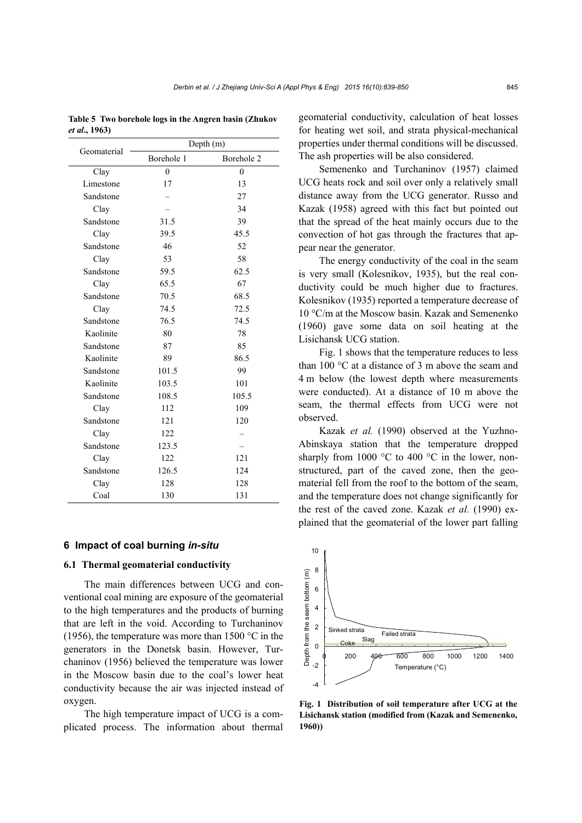|             | Depth (m)  |            |  |  |
|-------------|------------|------------|--|--|
| Geomaterial | Borehole 1 | Borehole 2 |  |  |
| Clay        | $\theta$   | $\theta$   |  |  |
| Limestone   | 17         | 13         |  |  |
| Sandstone   |            | 27         |  |  |
| Clay        |            | 34         |  |  |
| Sandstone   | 31.5       | 39         |  |  |
| Clay        | 39.5       | 45.5       |  |  |
| Sandstone   | 46         | 52         |  |  |
| Clay        | 53         | 58         |  |  |
| Sandstone   | 59.5       | 62.5       |  |  |
| Clay        | 65.5       | 67         |  |  |
| Sandstone   | 70.5       | 68.5       |  |  |
| Clay        | 74.5       | 72.5       |  |  |
| Sandstone   | 76.5       | 74.5       |  |  |
| Kaolinite   | 80         | 78         |  |  |
| Sandstone   | 87         | 85         |  |  |
| Kaolinite   | 89         | 86.5       |  |  |
| Sandstone   | 101.5      | 99         |  |  |
| Kaolinite   | 103.5      | 101        |  |  |
| Sandstone   | 108.5      | 105.5      |  |  |
| Clay        | 112        | 109        |  |  |
| Sandstone   | 121        | 120        |  |  |
| Clay        | 122        |            |  |  |
| Sandstone   | 123.5      |            |  |  |
| Clay        | 122        | 121        |  |  |
| Sandstone   | 126.5      | 124        |  |  |
| Clay        | 128        | 128        |  |  |
| Coal        | 130        | 131        |  |  |

**Table 5 Two borehole logs in the Angren basin (Zhukov**  *et al***., 1963)** 

## **6 Impact of coal burning** *in-situ*

### **6.1 Thermal geomaterial conductivity**

The main differences between UCG and conventional coal mining are exposure of the geomaterial to the high temperatures and the products of burning that are left in the void. According to Turchaninov (1956), the temperature was more than 1500 °C in the generators in the Donetsk basin. However, Turchaninov (1956) believed the temperature was lower in the Moscow basin due to the coal's lower heat conductivity because the air was injected instead of oxygen.

The high temperature impact of UCG is a complicated process. The information about thermal geomaterial conductivity, calculation of heat losses for heating wet soil, and strata physical-mechanical properties under thermal conditions will be discussed. The ash properties will be also considered.

Semenenko and Turchaninov (1957) claimed UCG heats rock and soil over only a relatively small distance away from the UCG generator. Russo and Kazak (1958) agreed with this fact but pointed out that the spread of the heat mainly occurs due to the convection of hot gas through the fractures that appear near the generator.

The energy conductivity of the coal in the seam is very small (Kolesnikov, 1935), but the real conductivity could be much higher due to fractures. Kolesnikov (1935) reported a temperature decrease of 10 °C/m at the Moscow basin. Kazak and Semenenko (1960) gave some data on soil heating at the Lisichansk UCG station.

Fig. 1 shows that the temperature reduces to less than 100 °C at a distance of 3 m above the seam and 4 m below (the lowest depth where measurements were conducted). At a distance of 10 m above the seam, the thermal effects from UCG were not observed.

Kazak *et al.* (1990) observed at the Yuzhno-Abinskaya station that the temperature dropped sharply from 1000  $^{\circ}$ C to 400  $^{\circ}$ C in the lower, nonstructured, part of the caved zone, then the geomaterial fell from the roof to the bottom of the seam, and the temperature does not change significantly for the rest of the caved zone. Kazak *et al.* (1990) explained that the geomaterial of the lower part falling



**Fig. 1 Distribution of soil temperature after UCG at the Lisichansk station (modified from (Kazak and Semenenko, 1960))**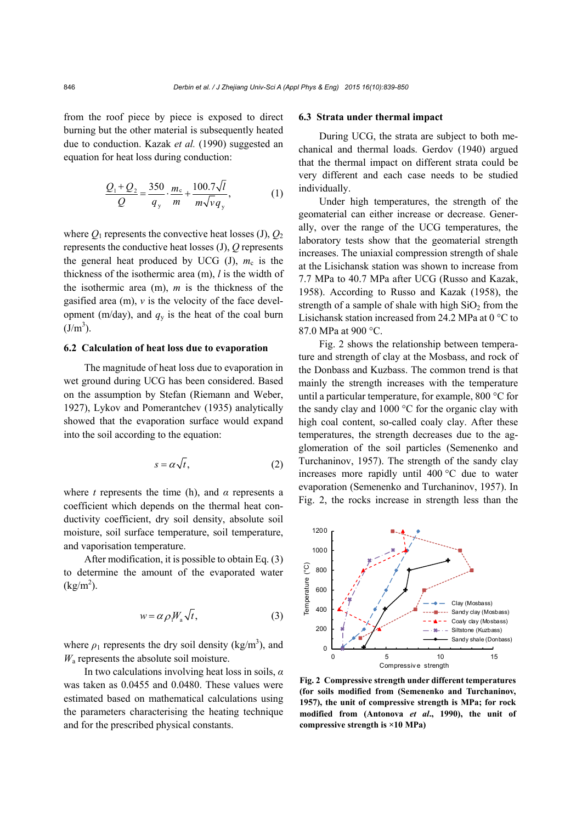from the roof piece by piece is exposed to direct burning but the other material is subsequently heated due to conduction. Kazak *et al.* (1990) suggested an equation for heat loss during conduction:

$$
\frac{Q_1 + Q_2}{Q} = \frac{350}{q_y} \cdot \frac{m_c}{m} + \frac{100.7\sqrt{l}}{m\sqrt{v}q_y},
$$
 (1)

where  $Q_1$  represents the convective heat losses (J),  $Q_2$ represents the conductive heat losses (J), *Q* represents the general heat produced by UCG  $(J)$ ,  $m_c$  is the thickness of the isothermic area (m), *l* is the width of the isothermic area (m), *m* is the thickness of the gasified area  $(m)$ ,  $\nu$  is the velocity of the face development (m/day), and  $q<sub>y</sub>$  is the heat of the coal burn  $(J/m^3)$ .

## **6.2 Calculation of heat loss due to evaporation**

The magnitude of heat loss due to evaporation in wet ground during UCG has been considered. Based on the assumption by Stefan (Riemann and Weber, 1927), Lykov and Pomerantchev (1935) analytically showed that the evaporation surface would expand into the soil according to the equation:

$$
s = \alpha \sqrt{t},\tag{2}
$$

where *t* represents the time (h), and  $\alpha$  represents a coefficient which depends on the thermal heat conductivity coefficient, dry soil density, absolute soil moisture, soil surface temperature, soil temperature, and vaporisation temperature.

After modification, it is possible to obtain Eq. (3) to determine the amount of the evaporated water  $\frac{\text{kg}}{\text{m}^2}$ .

$$
w = \alpha \rho_1 W_a \sqrt{t}, \qquad (3)
$$

where  $\rho_1$  represents the dry soil density (kg/m<sup>3</sup>), and *W*<sub>a</sub> represents the absolute soil moisture.

In two calculations involving heat loss in soils, *α* was taken as 0.0455 and 0.0480. These values were estimated based on mathematical calculations using the parameters characterising the heating technique and for the prescribed physical constants.

#### **6.3 Strata under thermal impact**

During UCG, the strata are subject to both mechanical and thermal loads. Gerdov (1940) argued that the thermal impact on different strata could be very different and each case needs to be studied individually.

Under high temperatures, the strength of the geomaterial can either increase or decrease. Generally, over the range of the UCG temperatures, the laboratory tests show that the geomaterial strength increases. The uniaxial compression strength of shale at the Lisichansk station was shown to increase from 7.7 MPa to 40.7 MPa after UCG (Russo and Kazak, 1958). According to Russo and Kazak (1958), the strength of a sample of shale with high  $SiO<sub>2</sub>$  from the Lisichansk station increased from 24.2 MPa at 0 °C to 87.0 MPa at 900 °C.

Fig. 2 shows the relationship between temperature and strength of clay at the Mosbass, and rock of the Donbass and Kuzbass. The common trend is that mainly the strength increases with the temperature until a particular temperature, for example, 800 °C for the sandy clay and 1000 °C for the organic clay with high coal content, so-called coaly clay. After these temperatures, the strength decreases due to the agglomeration of the soil particles (Semenenko and Turchaninov, 1957). The strength of the sandy clay increases more rapidly until 400 °C due to water evaporation (Semenenko and Turchaninov, 1957). In Fig. 2, the rocks increase in strength less than the



**Fig. 2 Compressive strength under different temperatures (for soils modified from (Semenenko and Turchaninov, 1957), the unit of compressive strength is MPa; for rock modified from (Antonova** *et al***., 1990), the unit of compressive strength is ×10 MPa)**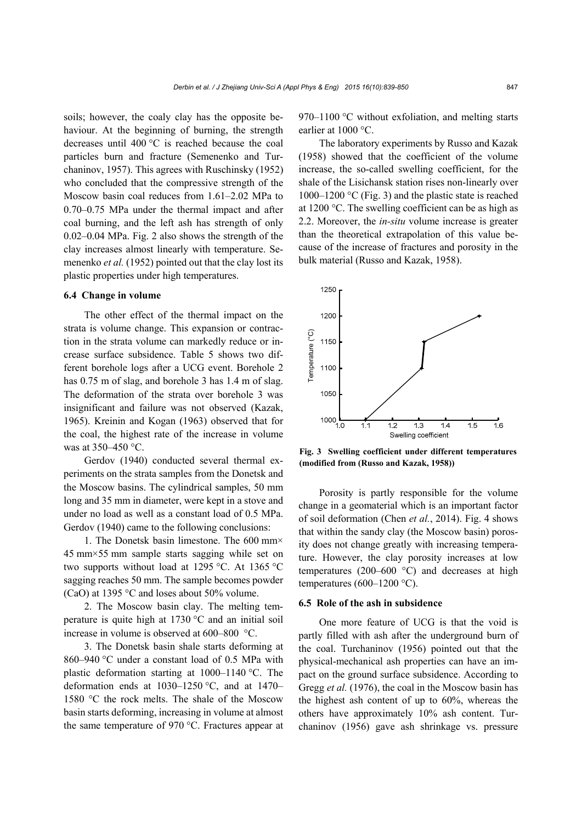soils; however, the coaly clay has the opposite behaviour. At the beginning of burning, the strength decreases until 400 °C is reached because the coal particles burn and fracture (Semenenko and Turchaninov, 1957). This agrees with Ruschinsky (1952) who concluded that the compressive strength of the Moscow basin coal reduces from 1.61–2.02 MPa to 0.70–0.75 MPa under the thermal impact and after coal burning, and the left ash has strength of only 0.02–0.04 MPa. Fig. 2 also shows the strength of the clay increases almost linearly with temperature. Semenenko *et al.* (1952) pointed out that the clay lost its plastic properties under high temperatures.

#### **6.4 Change in volume**

The other effect of the thermal impact on the strata is volume change. This expansion or contraction in the strata volume can markedly reduce or increase surface subsidence. Table 5 shows two different borehole logs after a UCG event. Borehole 2 has  $0.75$  m of slag, and borehole 3 has 1.4 m of slag. The deformation of the strata over borehole 3 was insignificant and failure was not observed (Kazak, 1965). Kreinin and Kogan (1963) observed that for the coal, the highest rate of the increase in volume was at 350–450 °C.

Gerdov (1940) conducted several thermal experiments on the strata samples from the Donetsk and the Moscow basins. The cylindrical samples, 50 mm long and 35 mm in diameter, were kept in a stove and under no load as well as a constant load of 0.5 MPa. Gerdov (1940) came to the following conclusions:

1. The Donetsk basin limestone. The 600 mm× 45 mm×55 mm sample starts sagging while set on two supports without load at 1295 °C. At 1365 °C sagging reaches 50 mm. The sample becomes powder (CaO) at 1395 °C and loses about 50% volume.

2. The Moscow basin clay. The melting temperature is quite high at 1730 °C and an initial soil increase in volume is observed at 600–800 °C.

3. The Donetsk basin shale starts deforming at 860–940 °C under a constant load of 0.5 MPa with plastic deformation starting at 1000–1140 °C. The deformation ends at 1030–1250 °C, and at 1470– 1580 °C the rock melts. The shale of the Moscow basin starts deforming, increasing in volume at almost the same temperature of 970 °C. Fractures appear at 970–1100 °C without exfoliation, and melting starts earlier at 1000 °C.

The laboratory experiments by Russo and Kazak (1958) showed that the coefficient of the volume increase, the so-called swelling coefficient, for the shale of the Lisichansk station rises non-linearly over 1000–1200 °C (Fig. 3) and the plastic state is reached at 1200 °C. The swelling coefficient can be as high as 2.2. Moreover, the *in-situ* volume increase is greater than the theoretical extrapolation of this value because of the increase of fractures and porosity in the bulk material (Russo and Kazak, 1958).



**Fig. 3 Swelling coefficient under different temperatures** 

Porosity is partly responsible for the volume change in a geomaterial which is an important factor of soil deformation (Chen *et al.*, 2014). Fig. 4 shows that within the sandy clay (the Moscow basin) porosity does not change greatly with increasing temperature. However, the clay porosity increases at low temperatures (200–600 °C) and decreases at high temperatures  $(600-1200 \degree C)$ .

#### **6.5 Role of the ash in subsidence**

One more feature of UCG is that the void is partly filled with ash after the underground burn of the coal. Turchaninov (1956) pointed out that the physical-mechanical ash properties can have an impact on the ground surface subsidence. According to Gregg *et al.* (1976), the coal in the Moscow basin has the highest ash content of up to 60%, whereas the others have approximately 10% ash content. Turchaninov (1956) gave ash shrinkage vs. pressure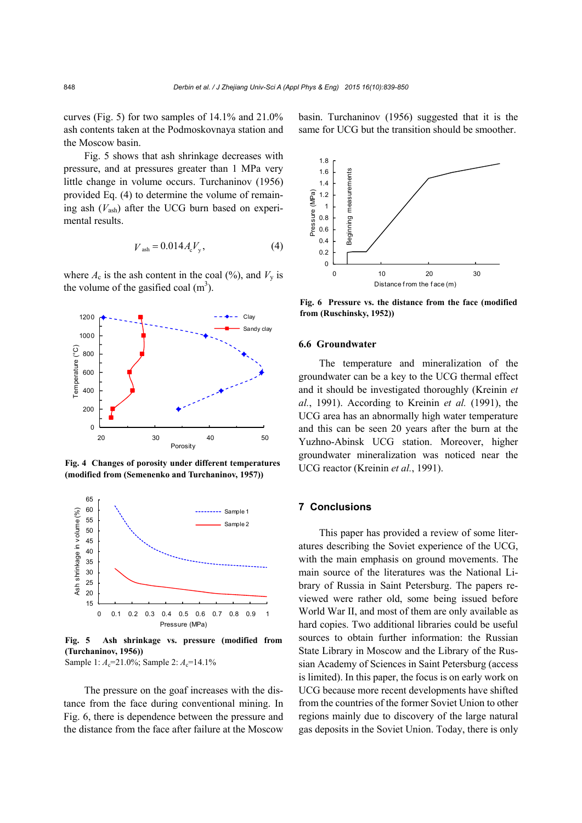curves (Fig. 5) for two samples of 14.1% and 21.0% ash contents taken at the Podmoskovnaya station and the Moscow basin.

Fig. 5 shows that ash shrinkage decreases with pressure, and at pressures greater than 1 MPa very little change in volume occurs. Turchaninov (1956) provided Eq. (4) to determine the volume of remaining ash (*V*ash) after the UCG burn based on experimental results.

$$
V_{\rm ash} = 0.014 A_{\rm c} V_{\rm y},\tag{4}
$$

where  $A_c$  is the ash content in the coal (%), and  $V_v$  is the volume of the gasified coal  $(m<sup>3</sup>)$ .



**Fig. 4 Changes of porosity under different temperatures (modified from (Semenenko and Turchaninov, 1957))**



**Fig. 5 Ash shrinkage vs. pressure (modified from (Turchaninov, 1956))**  Sample 1: *A<sub>c</sub>*=21.0%; Sample 2: *A<sub>c</sub>*=14.1%

The pressure on the goaf increases with the distance from the face during conventional mining. In Fig. 6, there is dependence between the pressure and the distance from the face after failure at the Moscow

basin. Turchaninov (1956) suggested that it is the same for UCG but the transition should be smoother.



**Fig. 6 Pressure vs. the distance from the face (modified from (Ruschinsky, 1952))**

#### **6.6 Groundwater**

The temperature and mineralization of the groundwater can be a key to the UCG thermal effect and it should be investigated thoroughly (Kreinin *et al.*, 1991). According to Kreinin *et al.* (1991), the UCG area has an abnormally high water temperature and this can be seen 20 years after the burn at the Yuzhno-Abinsk UCG station. Moreover, higher groundwater mineralization was noticed near the UCG reactor (Kreinin *et al.*, 1991).

### **7 Conclusions**

This paper has provided a review of some literatures describing the Soviet experience of the UCG, with the main emphasis on ground movements. The main source of the literatures was the National Library of Russia in Saint Petersburg. The papers reviewed were rather old, some being issued before World War II, and most of them are only available as hard copies. Two additional libraries could be useful sources to obtain further information: the Russian State Library in Moscow and the Library of the Russian Academy of Sciences in Saint Petersburg (access is limited). In this paper, the focus is on early work on UCG because more recent developments have shifted from the countries of the former Soviet Union to other regions mainly due to discovery of the large natural gas deposits in the Soviet Union. Today, there is only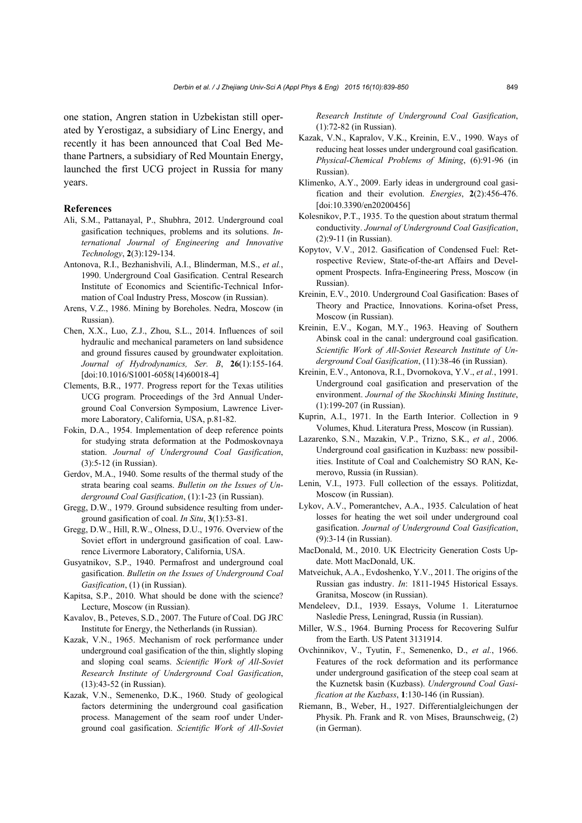one station, Angren station in Uzbekistan still operated by Yerostigaz, a subsidiary of Linc Energy, and recently it has been announced that Coal Bed Methane Partners, a subsidiary of Red Mountain Energy, launched the first UCG project in Russia for many years.

#### **References**

- Ali, S.M., Pattanayal, P., Shubhra, 2012. Underground coal gasification techniques, problems and its solutions. *International Journal of Engineering and Innovative Technology*, **2**(3):129-134.
- Antonova, R.I., Bezhanishvili, A.I., Blinderman, M.S., *et al.*, 1990. Underground Coal Gasification. Central Research Institute of Economics and Scientific-Technical Information of Coal Industry Press, Moscow (in Russian).
- Arens, V.Z., 1986. Mining by Boreholes. Nedra, Moscow (in Russian).
- Chen, X.X., Luo, Z.J., Zhou, S.L., 2014. Influences of soil hydraulic and mechanical parameters on land subsidence and ground fissures caused by groundwater exploitation. *Journal of Hydrodynamics, Ser. B*, **26**(1):155-164. [doi:10.1016/S1001-6058(14)60018-4]
- Clements, B.R., 1977. Progress report for the Texas utilities UCG program. Proceedings of the 3rd Annual Underground Coal Conversion Symposium, Lawrence Livermore Laboratory, California, USA, p.81-82.
- Fokin, D.A., 1954. Implementation of deep reference points for studying strata deformation at the Podmoskovnaya station. *Journal of Underground Coal Gasification*, (3):5-12 (in Russian).
- Gerdov, M.A., 1940. Some results of the thermal study of the strata bearing coal seams. *Bulletin on the Issues of Underground Coal Gasification*, (1):1-23 (in Russian).
- Gregg, D.W., 1979. Ground subsidence resulting from underground gasification of coal. *In Situ*, **3**(1):53-81.
- Gregg, D.W., Hill, R.W., Olness, D.U., 1976. Overview of the Soviet effort in underground gasification of coal. Lawrence Livermore Laboratory, California, USA.
- Gusyatnikov, S.P., 1940. Permafrost and underground coal gasification. *Bulletin on the Issues of Underground Coal Gasification*, (1) (in Russian).
- Kapitsa, S.P., 2010. What should be done with the science? Lecture, Moscow (in Russian).
- Kavalov, B., Peteves, S.D., 2007. The Future of Coal. DG JRC Institute for Energy, the Netherlands (in Russian).
- Kazak, V.N., 1965. Mechanism of rock performance under underground coal gasification of the thin, slightly sloping and sloping coal seams. *Scientific Work of All-Soviet Research Institute of Underground Coal Gasification*, (13):43-52 (in Russian).
- Kazak, V.N., Semenenko, D.K., 1960. Study of geological factors determining the underground coal gasification process. Management of the seam roof under Underground coal gasification. *Scientific Work of All-Soviet*

*Research Institute of Underground Coal Gasification*, (1):72-82 (in Russian).

- Kazak, V.N., Kapralov, V.K., Kreinin, E.V., 1990. Ways of reducing heat losses under underground coal gasification. *Physical-Chemical Problems of Mining*, (6):91-96 (in Russian).
- Klimenko, A.Y., 2009. Early ideas in underground coal gasification and their evolution. *Energies*, **2**(2):456-476. [doi:10.3390/en20200456]
- Kolesnikov, P.T., 1935. To the question about stratum thermal conductivity. *Journal of Underground Coal Gasification*, (2):9-11 (in Russian).
- Kopytov, V.V., 2012. Gasification of Condensed Fuel: Retrospective Review, State-of-the-art Affairs and Development Prospects. Infra-Engineering Press, Moscow (in Russian).
- Kreinin, E.V., 2010. Underground Coal Gasification: Bases of Theory and Practice, Innovations. Korina-ofset Press, Moscow (in Russian).
- Kreinin, E.V., Kogan, M.Y., 1963. Heaving of Southern Abinsk coal in the canal: underground coal gasification. *Scientific Work of All-Soviet Research Institute of Underground Coal Gasification*, (11):38-46 (in Russian).
- Kreinin, E.V., Antonova, R.I., Dvornokova, Y.V., *et al.*, 1991. Underground coal gasification and preservation of the environment. *Journal of the Skochinski Mining Institute*, (1):199-207 (in Russian).
- Kuprin, A.I., 1971. In the Earth Interior. Collection in 9 Volumes, Khud. Literatura Press, Moscow (in Russian).
- Lazarenko, S.N., Mazakin, V.P., Trizno, S.K., *et al.*, 2006. Underground coal gasification in Kuzbass: new possibilities. Institute of Coal and Coalchemistry SO RAN, Kemerovo, Russia (in Russian).
- Lenin, V.I., 1973. Full collection of the essays. Politizdat, Moscow (in Russian).
- Lykov, A.V., Pomerantchev, A.A., 1935. Calculation of heat losses for heating the wet soil under underground coal gasification. *Journal of Underground Coal Gasification*, (9):3-14 (in Russian).
- MacDonald, M., 2010. UK Electricity Generation Costs Update. Mott MacDonald, UK.
- Matveichuk, A.A., Evdoshenko, Y.V., 2011. The origins of the Russian gas industry. *In*: 1811-1945 Historical Essays. Granitsa, Moscow (in Russian).
- Mendeleev, D.I., 1939. Essays, Volume 1. Literaturnoe Nasledie Press, Leningrad, Russia (in Russian).
- Miller, W.S., 1964. Burning Process for Recovering Sulfur from the Earth. US Patent 3131914.
- Ovchinnikov, V., Tyutin, F., Semenenko, D., *et al.*, 1966. Features of the rock deformation and its performance under underground gasification of the steep coal seam at the Kuznetsk basin (Kuzbass). *Underground Coal Gasification at the Kuzbass*, **1**:130-146 (in Russian).
- Riemann, B., Weber, H., 1927. Differentialgleichungen der Physik. Ph. Frank and R. von Mises, Braunschweig, (2) (in German).